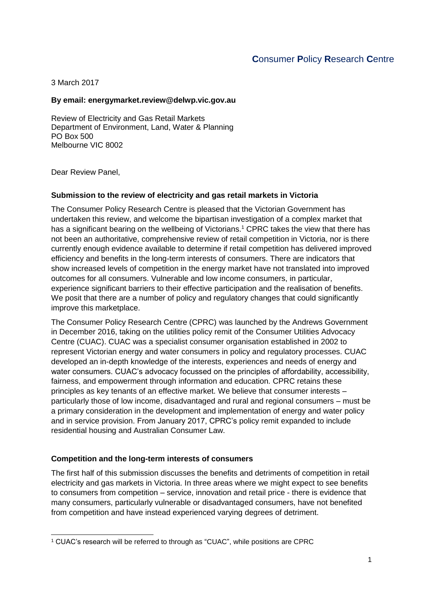# **C**onsumer **P**olicy **R**esearch **C**entre

3 March 2017

#### **By email: energymarket.review@delwp.vic.gov.au**

Review of Electricity and Gas Retail Markets Department of Environment, Land, Water & Planning PO Box 500 Melbourne VIC 8002

Dear Review Panel,

#### **Submission to the review of electricity and gas retail markets in Victoria**

The Consumer Policy Research Centre is pleased that the Victorian Government has undertaken this review, and welcome the bipartisan investigation of a complex market that has a significant bearing on the wellbeing of Victorians.<sup>1</sup> CPRC takes the view that there has not been an authoritative, comprehensive review of retail competition in Victoria, nor is there currently enough evidence available to determine if retail competition has delivered improved efficiency and benefits in the long-term interests of consumers. There are indicators that show increased levels of competition in the energy market have not translated into improved outcomes for all consumers. Vulnerable and low income consumers, in particular, experience significant barriers to their effective participation and the realisation of benefits. We posit that there are a number of policy and regulatory changes that could significantly improve this marketplace.

The Consumer Policy Research Centre (CPRC) was launched by the Andrews Government in December 2016, taking on the utilities policy remit of the Consumer Utilities Advocacy Centre (CUAC). CUAC was a specialist consumer organisation established in 2002 to represent Victorian energy and water consumers in policy and regulatory processes. CUAC developed an in-depth knowledge of the interests, experiences and needs of energy and water consumers. CUAC's advocacy focussed on the principles of affordability, accessibility, fairness, and empowerment through information and education. CPRC retains these principles as key tenants of an effective market. We believe that consumer interests – particularly those of low income, disadvantaged and rural and regional consumers – must be a primary consideration in the development and implementation of energy and water policy and in service provision. From January 2017, CPRC's policy remit expanded to include residential housing and Australian Consumer Law.

#### **Competition and the long-term interests of consumers**

The first half of this submission discusses the benefits and detriments of competition in retail electricity and gas markets in Victoria. In three areas where we might expect to see benefits to consumers from competition – service, innovation and retail price - there is evidence that many consumers, particularly vulnerable or disadvantaged consumers, have not benefited from competition and have instead experienced varying degrees of detriment.

<sup>1</sup> <sup>1</sup> CUAC's research will be referred to through as "CUAC", while positions are CPRC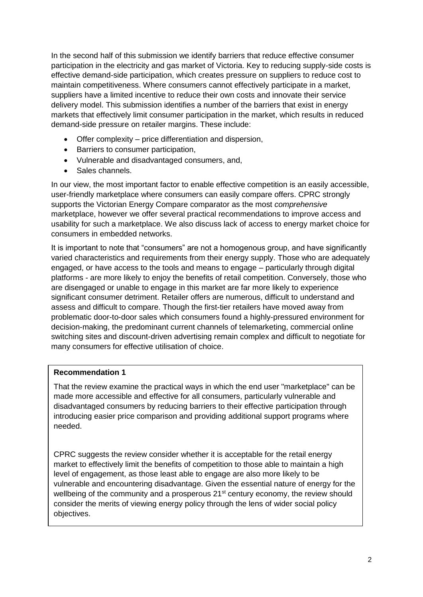In the second half of this submission we identify barriers that reduce effective consumer participation in the electricity and gas market of Victoria. Key to reducing supply-side costs is effective demand-side participation, which creates pressure on suppliers to reduce cost to maintain competitiveness. Where consumers cannot effectively participate in a market, suppliers have a limited incentive to reduce their own costs and innovate their service delivery model. This submission identifies a number of the barriers that exist in energy markets that effectively limit consumer participation in the market, which results in reduced demand-side pressure on retailer margins. These include:

- Offer complexity price differentiation and dispersion,
- Barriers to consumer participation,
- Vulnerable and disadvantaged consumers, and,
- Sales channels.

In our view, the most important factor to enable effective competition is an easily accessible, user-friendly marketplace where consumers can easily compare offers. CPRC strongly supports the Victorian Energy Compare comparator as the most *comprehensive* marketplace, however we offer several practical recommendations to improve access and usability for such a marketplace. We also discuss lack of access to energy market choice for consumers in embedded networks.

It is important to note that "consumers" are not a homogenous group, and have significantly varied characteristics and requirements from their energy supply. Those who are adequately engaged, or have access to the tools and means to engage – particularly through digital platforms - are more likely to enjoy the benefits of retail competition. Conversely, those who are disengaged or unable to engage in this market are far more likely to experience significant consumer detriment. Retailer offers are numerous, difficult to understand and assess and difficult to compare. Though the first-tier retailers have moved away from problematic door-to-door sales which consumers found a highly-pressured environment for decision-making, the predominant current channels of telemarketing, commercial online switching sites and discount-driven advertising remain complex and difficult to negotiate for many consumers for effective utilisation of choice.

#### **Recommendation 1**

That the review examine the practical ways in which the end user "marketplace" can be made more accessible and effective for all consumers, particularly vulnerable and disadvantaged consumers by reducing barriers to their effective participation through introducing easier price comparison and providing additional support programs where needed.

CPRC suggests the review consider whether it is acceptable for the retail energy market to effectively limit the benefits of competition to those able to maintain a high level of engagement, as those least able to engage are also more likely to be vulnerable and encountering disadvantage. Given the essential nature of energy for the wellbeing of the community and a prosperous 21<sup>st</sup> century economy, the review should consider the merits of viewing energy policy through the lens of wider social policy objectives.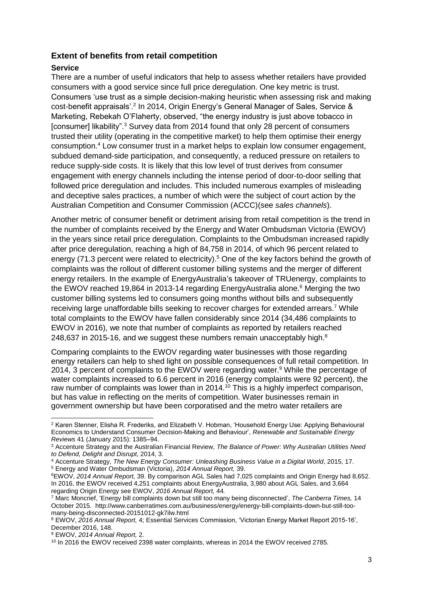## **Extent of benefits from retail competition**

#### **Service**

There are a number of useful indicators that help to assess whether retailers have provided consumers with a good service since full price deregulation. One key metric is trust. Consumers 'use trust as a simple decision-making heuristic when assessing risk and making cost-benefit appraisals'.<sup>2</sup> In 2014, Origin Energy's General Manager of Sales, Service & Marketing, Rebekah O'Flaherty, observed, "the energy industry is just above tobacco in [consumer] likability".<sup>3</sup> Survey data from 2014 found that only 28 percent of consumers trusted their utility (operating in the competitive market) to help them optimise their energy consumption.<sup>4</sup> Low consumer trust in a market helps to explain low consumer engagement, subdued demand-side participation, and consequently, a reduced pressure on retailers to reduce supply-side costs. It is likely that this low level of trust derives from consumer engagement with energy channels including the intense period of door-to-door selling that followed price deregulation and includes. This included numerous examples of misleading and deceptive sales practices, a number of which were the subject of court action by the Australian Competition and Consumer Commission (ACCC)(see *sales channels*).

Another metric of consumer benefit or detriment arising from retail competition is the trend in the number of complaints received by the Energy and Water Ombudsman Victoria (EWOV) in the years since retail price deregulation. Complaints to the Ombudsman increased rapidly after price deregulation, reaching a high of 84,758 in 2014, of which 96 percent related to energy (71.3 percent were related to electricity).<sup>5</sup> One of the key factors behind the growth of complaints was the rollout of different customer billing systems and the merger of different energy retailers. In the example of EnergyAustralia's takeover of TRUenergy, complaints to the EWOV reached 19,864 in 2013-14 regarding EnergyAustralia alone.<sup>6</sup> Merging the two customer billing systems led to consumers going months without bills and subsequently receiving large unaffordable bills seeking to recover charges for extended arrears.<sup>7</sup> While total complaints to the EWOV have fallen considerably since 2014 (34,486 complaints to EWOV in 2016), we note that number of complaints as reported by retailers reached 248,637 in 2015-16, and we suggest these numbers remain unacceptably high. $8$ 

Comparing complaints to the EWOV regarding water businesses with those regarding energy retailers can help to shed light on possible consequences of full retail competition. In 2014, 3 percent of complaints to the EWOV were regarding water.<sup>9</sup> While the percentage of water complaints increased to 6.6 percent in 2016 (energy complaints were 92 percent), the raw number of complaints was lower than in 2014.<sup>10</sup> This is a highly imperfect comparison, but has value in reflecting on the merits of competition. Water businesses remain in government ownership but have been corporatised and the metro water retailers are

-

<sup>2</sup> Karen Stenner, Elisha R. Frederiks, and Elizabeth V. Hobman, 'Household Energy Use: Applying Behavioural Economics to Understand Consumer Decision-Making and Behaviour', *Renewable and Sustainable Energy Reviews* 41 (January 2015): 1385–94.

<sup>3</sup> Accenture Strategy and the Australian Financial Review*, The Balance of Power: Why Australian Utilities Need to Defend, Delight and Disrupt*, 2014, 3.

<sup>4</sup> Accenture Strategy, *The New Energy Consumer: Unleashing Business Value in a Digital World*, 2015, 17. <sup>5</sup> Energy and Water Ombudsman (Victoria), *2014 Annual Report,* 39.

<sup>6</sup>EWOV, *2014 Annual Report,* 39. By comparison AGL Sales had 7,025 complaints and Origin Energy had 8,652. In 2016, the EWOV received 4,251 complaints about EnergyAustralia, 3,980 about AGL Sales, and 3,664 regarding Origin Energy see EWOV, *2016 Annual Report,* 44*.* 

<sup>7</sup> Marc Moncrief, 'Energy bill complaints down but still too many being disconnected', *The Canberra Times,* 14 October 2015. http://www.canberratimes.com.au/business/energy/energy-bill-complaints-down-but-still-toomany-being-disconnected-20151012-gk7ilw.html

<sup>8</sup> EWOV, *2016 Annual Report,* 4; Essential Services Commission, 'Victorian Energy Market Report 2015-16', December 2016, 148.

<sup>9</sup> EWOV, *2014 Annual Report,* 2.

<sup>&</sup>lt;sup>10</sup> In 2016 the EWOV received 2398 water complaints, whereas in 2014 the EWOV received 2785.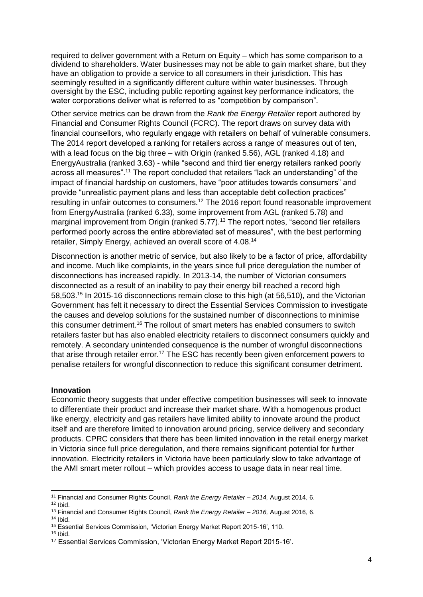required to deliver government with a Return on Equity – which has some comparison to a dividend to shareholders. Water businesses may not be able to gain market share, but they have an obligation to provide a service to all consumers in their jurisdiction. This has seemingly resulted in a significantly different culture within water businesses. Through oversight by the ESC, including public reporting against key performance indicators, the water corporations deliver what is referred to as "competition by comparison".

Other service metrics can be drawn from the *Rank the Energy Retailer* report authored by Financial and Consumer Rights Council (FCRC). The report draws on survey data with financial counsellors, who regularly engage with retailers on behalf of vulnerable consumers. The 2014 report developed a ranking for retailers across a range of measures out of ten, with a lead focus on the big three – with Origin (ranked 5.56), AGL (ranked 4.18) and EnergyAustralia (ranked 3.63) - while "second and third tier energy retailers ranked poorly across all measures".<sup>11</sup> The report concluded that retailers "lack an understanding" of the impact of financial hardship on customers, have "poor attitudes towards consumers" and provide "unrealistic payment plans and less than acceptable debt collection practices" resulting in unfair outcomes to consumers.<sup>12</sup> The 2016 report found reasonable improvement from EnergyAustralia (ranked 6.33), some improvement from AGL (ranked 5.78) and marginal improvement from Origin (ranked 5.77).<sup>13</sup> The report notes, "second tier retailers performed poorly across the entire abbreviated set of measures", with the best performing retailer, Simply Energy, achieved an overall score of 4.08.<sup>14</sup>

Disconnection is another metric of service, but also likely to be a factor of price, affordability and income. Much like complaints, in the years since full price deregulation the number of disconnections has increased rapidly. In 2013-14, the number of Victorian consumers disconnected as a result of an inability to pay their energy bill reached a record high 58,503.<sup>15</sup> In 2015-16 disconnections remain close to this high (at 56,510), and the Victorian Government has felt it necessary to direct the Essential Services Commission to investigate the causes and develop solutions for the sustained number of disconnections to minimise this consumer detriment.<sup>16</sup> The rollout of smart meters has enabled consumers to switch retailers faster but has also enabled electricity retailers to disconnect consumers quickly and remotely. A secondary unintended consequence is the number of wrongful disconnections that arise through retailer error.<sup>17</sup> The ESC has recently been given enforcement powers to penalise retailers for wrongful disconnection to reduce this significant consumer detriment.

#### **Innovation**

Economic theory suggests that under effective competition businesses will seek to innovate to differentiate their product and increase their market share. With a homogenous product like energy, electricity and gas retailers have limited ability to innovate around the product itself and are therefore limited to innovation around pricing, service delivery and secondary products. CPRC considers that there has been limited innovation in the retail energy market in Victoria since full price deregulation, and there remains significant potential for further innovation. Electricity retailers in Victoria have been particularly slow to take advantage of the AMI smart meter rollout – which provides access to usage data in near real time.

 $12$  Ibid.

<sup>-</sup><sup>11</sup> Financial and Consumer Rights Council, *Rank the Energy Retailer – 2014,* August 2014, 6.

<sup>13</sup> Financial and Consumer Rights Council, *Rank the Energy Retailer – 2016,* August 2016, 6.  $14$  Ibid.

<sup>15</sup> Essential Services Commission, 'Victorian Energy Market Report 2015-16', 110.

 $16$  Ibid.

<sup>17</sup> Essential Services Commission, 'Victorian Energy Market Report 2015-16'.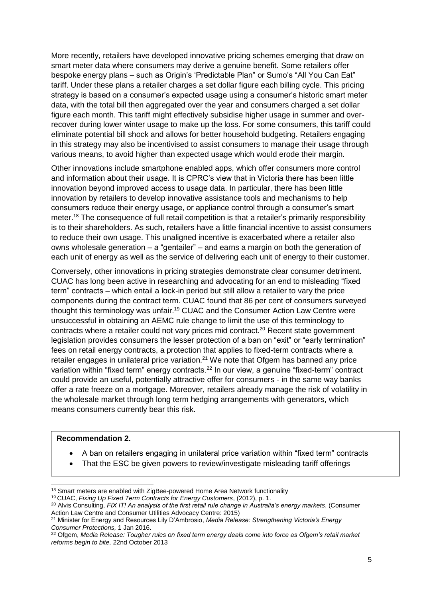More recently, retailers have developed innovative pricing schemes emerging that draw on smart meter data where consumers may derive a genuine benefit. Some retailers offer bespoke energy plans – such as Origin's 'Predictable Plan" or Sumo's "All You Can Eat" tariff. Under these plans a retailer charges a set dollar figure each billing cycle. This pricing strategy is based on a consumer's expected usage using a consumer's historic smart meter data, with the total bill then aggregated over the year and consumers charged a set dollar figure each month. This tariff might effectively subsidise higher usage in summer and overrecover during lower winter usage to make up the loss. For some consumers, this tariff could eliminate potential bill shock and allows for better household budgeting. Retailers engaging in this strategy may also be incentivised to assist consumers to manage their usage through various means, to avoid higher than expected usage which would erode their margin.

Other innovations include smartphone enabled apps, which offer consumers more control and information about their usage. It is CPRC's view that in Victoria there has been little innovation beyond improved access to usage data. In particular, there has been little innovation by retailers to develop innovative assistance tools and mechanisms to help consumers reduce their energy usage, or appliance control through a consumer's smart meter.<sup>18</sup> The consequence of full retail competition is that a retailer's primarily responsibility is to their shareholders. As such, retailers have a little financial incentive to assist consumers to reduce their own usage. This unaligned incentive is exacerbated where a retailer also owns wholesale generation – a "gentailer" – and earns a margin on both the generation of each unit of energy as well as the service of delivering each unit of energy to their customer.

Conversely, other innovations in pricing strategies demonstrate clear consumer detriment. CUAC has long been active in researching and advocating for an end to misleading "fixed term" contracts – which entail a lock-in period but still allow a retailer to vary the price components during the contract term. CUAC found that 86 per cent of consumers surveyed thought this terminology was unfair.<sup>19</sup> CUAC and the Consumer Action Law Centre were unsuccessful in obtaining an AEMC rule change to limit the use of this terminology to contracts where a retailer could not vary prices mid contract. <sup>20</sup> Recent state government legislation provides consumers the lesser protection of a ban on "exit" or "early termination" fees on retail energy contracts, a protection that applies to fixed-term contracts where a retailer engages in unilateral price variation.<sup>21</sup> We note that Ofgem has banned any price variation within "fixed term" energy contracts.<sup>22</sup> In our view, a genuine "fixed-term" contract could provide an useful, potentially attractive offer for consumers - in the same way banks offer a rate freeze on a mortgage. Moreover, retailers already manage the risk of volatility in the wholesale market through long term hedging arrangements with generators, which means consumers currently bear this risk.

#### **Recommendation 2.**

1

- A ban on retailers engaging in unilateral price variation within "fixed term" contracts
- That the ESC be given powers to review/investigate misleading tariff offerings

<sup>&</sup>lt;sup>18</sup> Smart meters are enabled with ZigBee-powered Home Area Network functionality

<sup>19</sup> CUAC, *Fixing Up Fixed Term Contracts for Energy Customers*, (2012), p. 1.

<sup>20</sup> Alvis Consulting, *FIX IT! An analysis of the first retail rule change in Australia's energy markets*, (Consumer Action Law Centre and Consumer Utilities Advocacy Centre: 2015)

<sup>21</sup> Minister for Energy and Resources Lily D'Ambrosio, *Media Release: Strengthening Victoria's Energy Consumer Protections,* 1 Jan 2016.

<sup>22</sup> Ofgem, *Media Release: Tougher rules on fixed term energy deals come into force as Ofgem's retail market reforms begin to bite,* 22nd October 2013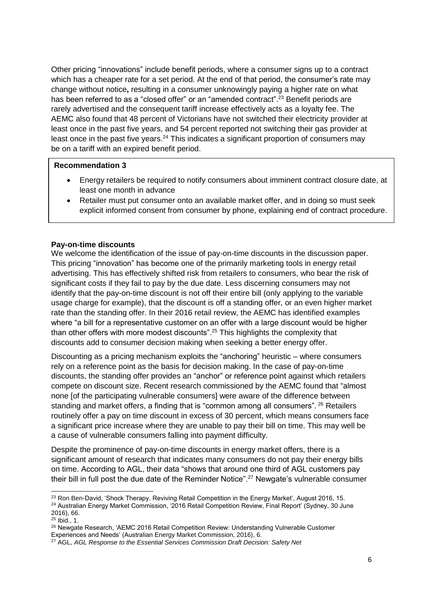Other pricing "innovations" include benefit periods, where a consumer signs up to a contract which has a cheaper rate for a set period. At the end of that period, the consumer's rate may change without notice**,** resulting in a consumer unknowingly paying a higher rate on what has been referred to as a "closed offer" or an "amended contract".<sup>23</sup> Benefit periods are rarely advertised and the consequent tariff increase effectively acts as a loyalty fee. The AEMC also found that 48 percent of Victorians have not switched their electricity provider at least once in the past five years, and 54 percent reported not switching their gas provider at least once in the past five years.<sup>24</sup> This indicates a significant proportion of consumers may be on a tariff with an expired benefit period.

#### **Recommendation 3**

- Energy retailers be required to notify consumers about imminent contract closure date, at least one month in advance
- Retailer must put consumer onto an available market offer, and in doing so must seek explicit informed consent from consumer by phone, explaining end of contract procedure.

#### **Pay-on-time discounts**

We welcome the identification of the issue of pay-on-time discounts in the discussion paper. This pricing "innovation" has become one of the primarily marketing tools in energy retail advertising. This has effectively shifted risk from retailers to consumers, who bear the risk of significant costs if they fail to pay by the due date. Less discerning consumers may not identify that the pay-on-time discount is not off their entire bill (only applying to the variable usage charge for example), that the discount is off a standing offer, or an even higher market rate than the standing offer. In their 2016 retail review, the AEMC has identified examples where "a bill for a representative customer on an offer with a large discount would be higher than other offers with more modest discounts".<sup>25</sup> This highlights the complexity that discounts add to consumer decision making when seeking a better energy offer.

Discounting as a pricing mechanism exploits the "anchoring" heuristic – where consumers rely on a reference point as the basis for decision making. In the case of pay-on-time discounts, the standing offer provides an "anchor" or reference point against which retailers compete on discount size. Recent research commissioned by the AEMC found that "almost none [of the participating vulnerable consumers] were aware of the difference between standing and market offers, a finding that is "common among all consumers". <sup>26</sup> Retailers routinely offer a pay on time discount in excess of 30 percent, which means consumers face a significant price increase where they are unable to pay their bill on time. This may well be a cause of vulnerable consumers falling into payment difficulty.

Despite the prominence of pay-on-time discounts in energy market offers, there is a significant amount of research that indicates many consumers do not pay their energy bills on time. According to AGL, their data "shows that around one third of AGL customers pay their bill in full post the due date of the Reminder Notice".<sup>27</sup> Newgate's vulnerable consumer

-

<sup>&</sup>lt;sup>23</sup> Ron Ben-David, 'Shock Therapy. Reviving Retail Competition in the Energy Market', August 2016, 15.

<sup>24</sup> Australian Energy Market Commission, '2016 Retail Competition Review, Final Report' (Sydney, 30 June 2016), 66.

 $25$  Ibid., 1.

<sup>&</sup>lt;sup>26</sup> Newgate Research, 'AEMC 2016 Retail Competition Review: Understanding Vulnerable Customer Experiences and Needs' (Australian Energy Market Commission, 2016), 6.

<sup>27</sup> AGL, *AGL Response to the Essential Services Commission Draft Decision: Safety Net*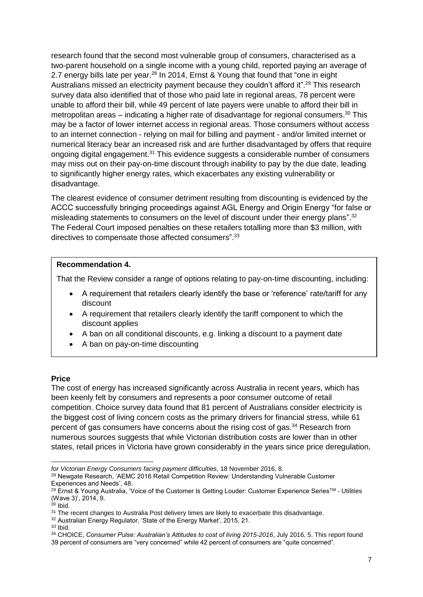research found that the second most vulnerable group of consumers, characterised as a two-parent household on a single income with a young child, reported paying an average of 2.7 energy bills late per year.<sup>28</sup> In 2014, Ernst & Young that found that "one in eight Australians missed an electricity payment because they couldn't afford it".<sup>29</sup> This research survey data also identified that of those who paid late in regional areas, 78 percent were unable to afford their bill, while 49 percent of late payers were unable to afford their bill in metropolitan areas – indicating a higher rate of disadvantage for regional consumers.<sup>30</sup> This may be a factor of lower internet access in regional areas. Those consumers without access to an internet connection - relying on mail for billing and payment - and/or limited internet or numerical literacy bear an increased risk and are further disadvantaged by offers that require ongoing digital engagement.<sup>31</sup> This evidence suggests a considerable number of consumers may miss out on their pay-on-time discount through inability to pay by the due date, leading to significantly higher energy rates, which exacerbates any existing vulnerability or disadvantage.

The clearest evidence of consumer detriment resulting from discounting is evidenced by the ACCC successfully bringing proceedings against AGL Energy and Origin Energy "for false or misleading statements to consumers on the level of discount under their energy plans".<sup>32</sup> The Federal Court imposed penalties on these retailers totalling more than \$3 million, with directives to compensate those affected consumers".<sup>33</sup>

## **Recommendation 4.**

That the Review consider a range of options relating to pay-on-time discounting, including:

- A requirement that retailers clearly identify the base or 'reference' rate/tariff for any discount
- A requirement that retailers clearly identify the tariff component to which the discount applies
- A ban on all conditional discounts, e.g. linking a discount to a payment date
- A ban on pay-on-time discounting

#### **Price**

The cost of energy has increased significantly across Australia in recent years, which has been keenly felt by consumers and represents a poor consumer outcome of retail competition. Choice survey data found that 81 percent of Australians consider electricity is the biggest cost of living concern costs as the primary drivers for financial stress, while 61 percent of gas consumers have concerns about the rising cost of gas.<sup>34</sup> Research from numerous sources suggests that while Victorian distribution costs are lower than in other states, retail prices in Victoria have grown considerably in the years since price deregulation,

<sup>1</sup> *for Victorian Energy Consumers facing payment difficulties,* 18 November 2016, 8.

<sup>&</sup>lt;sup>28</sup> Newgate Research, 'AEMC 2016 Retail Competition Review: Understanding Vulnerable Customer Experiences and Needs', 48.

<sup>29</sup> Ernst & Young Australia, 'Voice of the Customer Is Getting Louder: Customer Experience SeriesTM - Utilities (Wave 3)', 2014, 9.

 $30$  lbid.

<sup>&</sup>lt;sup>31</sup> The recent changes to Australia Post delivery times are likely to exacerbate this disadvantage.

<sup>&</sup>lt;sup>32</sup> Australian Energy Regulator, 'State of the Energy Market', 2015, 21.

<sup>33</sup> Ibid.

<sup>34</sup> CHOICE, *Consumer Pulse: Australian's Attitudes to cost of living 2015-2016*, July 2016, 5. This report found 39 percent of consumers are "very concerned" while 42 percent of consumers are "quite concerned".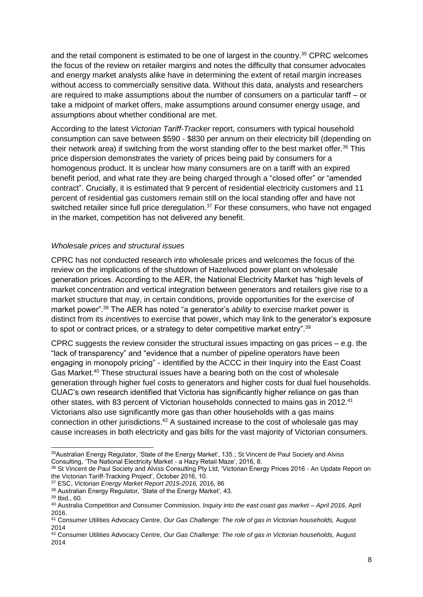and the retail component is estimated to be one of largest in the country.<sup>35</sup> CPRC welcomes the focus of the review on retailer margins and notes the difficulty that consumer advocates and energy market analysts alike have in determining the extent of retail margin increases without access to commercially sensitive data. Without this data, analysts and researchers are required to make assumptions about the number of consumers on a particular tariff – or take a midpoint of market offers, make assumptions around consumer energy usage, and assumptions about whether conditional are met.

According to the latest *Victorian Tariff-Tracker* report, consumers with typical household consumption can save between \$590 - \$830 per annum on their electricity bill (depending on their network area) if switching from the worst standing offer to the best market offer.<sup>36</sup> This price dispersion demonstrates the variety of prices being paid by consumers for a homogenous product. It is unclear how many consumers are on a tariff with an expired benefit period, and what rate they are being charged through a "closed offer" or "amended contract". Crucially, it is estimated that 9 percent of residential electricity customers and 11 percent of residential gas customers remain still on the local standing offer and have not switched retailer since full price deregulation. $37$  For these consumers, who have not engaged in the market, competition has not delivered any benefit.

#### *Wholesale prices and structural issues*

CPRC has not conducted research into wholesale prices and welcomes the focus of the review on the implications of the shutdown of Hazelwood power plant on wholesale generation prices. According to the AER, the National Electricity Market has "high levels of market concentration and vertical integration between generators and retailers give rise to a market structure that may, in certain conditions, provide opportunities for the exercise of market power".<sup>38</sup> The AER has noted "a generator's *ability* to exercise market power is distinct from its *incentive*s to exercise that power, which may link to the generator's exposure to spot or contract prices, or a strategy to deter competitive market entry".<sup>39</sup>

CPRC suggests the review consider the structural issues impacting on gas prices  $-$  e.g. the "lack of transparency" and "evidence that a number of pipeline operators have been engaging in monopoly pricing" - identified by the ACCC in their Inquiry into the East Coast Gas Market.<sup>40</sup> These structural issues have a bearing both on the cost of wholesale generation through higher fuel costs to generators and higher costs for dual fuel households. CUAC's own research identified that Victoria has significantly higher reliance on gas than other states, with 83 percent of Victorian households connected to mains gas in 2012.<sup>41</sup> Victorians also use significantly more gas than other households with a gas mains connection in other jurisdictions.<sup>42</sup> A sustained increase to the cost of wholesale gas may cause increases in both electricity and gas bills for the vast majority of Victorian consumers.

1

<sup>&</sup>lt;sup>35</sup>Australian Energy Regulator, 'State of the Energy Market', 135.; St Vincent de Paul Society and Alviss Consulting, 'The National Electricity Market - a Hazy Retail Maze', 2016, 8.

<sup>36</sup> St Vincent de Paul Society and Alviss Consulting Pty Ltd, 'Victorian Energy Prices 2016 - An Update Report on the Victorian Tariff-Tracking Project', October 2016, 10.

<sup>37</sup> ESC, *Victorian Energy Market Report 2015-2016,* 2016, 86

<sup>38</sup> Australian Energy Regulator, 'State of the Energy Market', 43.

<sup>39</sup> Ibid., 60.

<sup>40</sup> Australia Competition and Consumer Commission, *Inquiry into the east coast gas market – April 2016,* April 2016.

<sup>41</sup> Consumer Utilities Advocacy Centre, *Our Gas Challenge: The role of gas in Victorian households,* August 2014

<sup>42</sup> Consumer Utilities Advocacy Centre, *Our Gas Challenge: The role of gas in Victorian households,* August 2014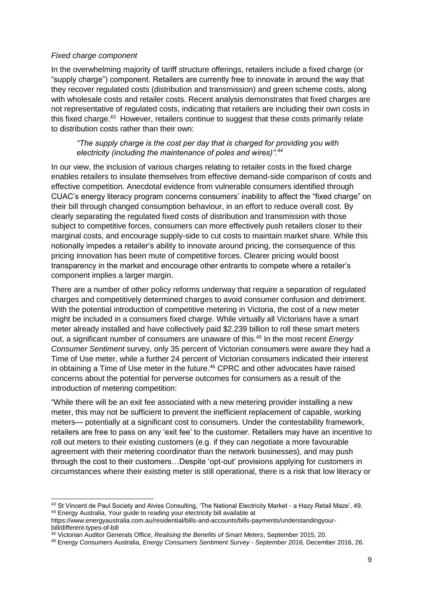#### *Fixed charge component*

-

In the overwhelming majority of tariff structure offerings, retailers include a fixed charge (or "supply charge") component. Retailers are currently free to innovate in around the way that they recover regulated costs (distribution and transmission) and green scheme costs, along with wholesale costs and retailer costs. Recent analysis demonstrates that fixed charges are not representative of regulated costs, indicating that retailers are including their own costs in this fixed charge.<sup>43</sup> However, retailers continue to suggest that these costs primarily relate to distribution costs rather than their own:

## *"The supply charge is the cost per day that is charged for providing you with electricity (including the maintenance of poles and wires)".<sup>44</sup>*

In our view, the inclusion of various charges relating to retailer costs in the fixed charge enables retailers to insulate themselves from effective demand-side comparison of costs and effective competition. Anecdotal evidence from vulnerable consumers identified through CUAC's energy literacy program concerns consumers' inability to affect the "fixed charge" on their bill through changed consumption behaviour, in an effort to reduce overall cost. By clearly separating the regulated fixed costs of distribution and transmission with those subject to competitive forces, consumers can more effectively push retailers closer to their marginal costs, and encourage supply-side to cut costs to maintain market share. While this notionally impedes a retailer's ability to innovate around pricing, the consequence of this pricing innovation has been mute of competitive forces. Clearer pricing would boost transparency in the market and encourage other entrants to compete where a retailer's component implies a larger margin.

There are a number of other policy reforms underway that require a separation of regulated charges and competitively determined charges to avoid consumer confusion and detriment. With the potential introduction of competitive metering in Victoria, the cost of a new meter might be included in a consumers fixed charge. While virtually all Victorians have a smart meter already installed and have collectively paid \$2.239 billion to roll these smart meters out, a significant number of consumers are unaware of this.<sup>45</sup> In the most recent *Energy Consumer Sentiment* survey, only 35 percent of Victorian consumers were aware they had a Time of Use meter, while a further 24 percent of Victorian consumers indicated their interest in obtaining a Time of Use meter in the future.<sup>46</sup> CPRC and other advocates have raised concerns about the potential for perverse outcomes for consumers as a result of the introduction of metering competition:

"While there will be an exit fee associated with a new metering provider installing a new meter, this may not be sufficient to prevent the inefficient replacement of capable, working meters— potentially at a significant cost to consumers. Under the contestability framework, retailers are free to pass on any 'exit fee' to the customer. Retailers may have an incentive to roll out meters to their existing customers (e.g. if they can negotiate a more favourable agreement with their metering coordinator than the network businesses), and may push through the cost to their customers…Despite 'opt-out' provisions applying for customers in circumstances where their existing meter is still operational, there is a risk that low literacy or

 $^{43}$  St Vincent de Paul Society and Alviss Consulting, 'The National Electricity Market - a Hazy Retail Maze', 49. <sup>44</sup> Energy Australia, Your guide to reading your electricity bill available at

https://www.energyaustralia.com.au/residential/bills-and-accounts/bills-payments/understandingyourbill/different-types-of-bill

<sup>45</sup> Victorian Auditor Generals Office, *Realising the Benefits of Smart Meters*, September 2015, 20.

<sup>46</sup> Energy Consumers Australia, *Energy Consumers Sentiment Survey - September 2016,* December 2016, 26.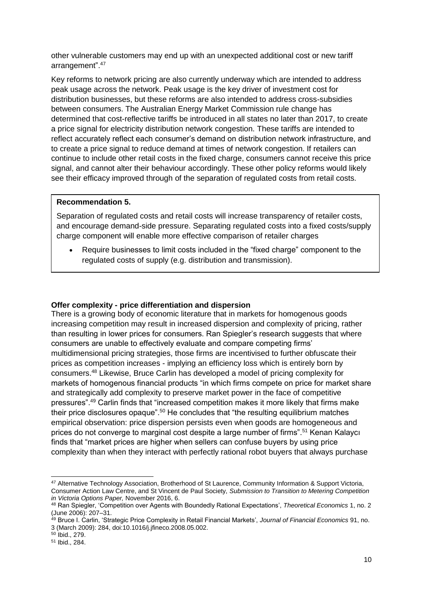other vulnerable customers may end up with an unexpected additional cost or new tariff arrangement". 47

Key reforms to network pricing are also currently underway which are intended to address peak usage across the network. Peak usage is the key driver of investment cost for distribution businesses, but these reforms are also intended to address cross-subsidies between consumers. The Australian Energy Market Commission rule change has determined that cost-reflective tariffs be introduced in all states no later than 2017, to create a price signal for electricity distribution network congestion. These tariffs are intended to reflect accurately reflect each consumer's demand on distribution network infrastructure, and to create a price signal to reduce demand at times of network congestion. If retailers can continue to include other retail costs in the fixed charge, consumers cannot receive this price signal, and cannot alter their behaviour accordingly. These other policy reforms would likely see their efficacy improved through of the separation of regulated costs from retail costs.

#### **Recommendation 5.**

Separation of regulated costs and retail costs will increase transparency of retailer costs, and encourage demand-side pressure. Separating regulated costs into a fixed costs/supply charge component will enable more effective comparison of retailer charges

 Require businesses to limit costs included in the "fixed charge" component to the regulated costs of supply (e.g. distribution and transmission).

#### **Offer complexity - price differentiation and dispersion**

There is a growing body of economic literature that in markets for homogenous goods increasing competition may result in increased dispersion and complexity of pricing, rather than resulting in lower prices for consumers. Ran Spiegler's research suggests that where consumers are unable to effectively evaluate and compare competing firms' multidimensional pricing strategies, those firms are incentivised to further obfuscate their prices as competition increases - implying an efficiency loss which is entirely born by consumers.<sup>48</sup> Likewise, Bruce Carlin has developed a model of pricing complexity for markets of homogenous financial products "in which firms compete on price for market share and strategically add complexity to preserve market power in the face of competitive pressures".<sup>49</sup> Carlin finds that "increased competition makes it more likely that firms make their price disclosures opaque".<sup>50</sup> He concludes that "the resulting equilibrium matches empirical observation: price dispersion persists even when goods are homogeneous and prices do not converge to marginal cost despite a large number of firms".<sup>51</sup> Kenan Kalaycı finds that "market prices are higher when sellers can confuse buyers by using price complexity than when they interact with perfectly rational robot buyers that always purchase

<sup>-</sup><sup>47</sup> Alternative Technology Association, Brotherhood of St Laurence, Community Information & Support Victoria, Consumer Action Law Centre, and St Vincent de Paul Society, *Submission to Transition to Metering Competition in Victoria Options Paper,* November 2016, 6.

<sup>48</sup> Ran Spiegler, 'Competition over Agents with Boundedly Rational Expectations', *Theoretical Economics* 1, no. 2 (June 2006): 207–31.

<sup>49</sup> Bruce I. Carlin, 'Strategic Price Complexity in Retail Financial Markets', *Journal of Financial Economics* 91, no. 3 (March 2009): 284, doi:10.1016/j.jfineco.2008.05.002.

<sup>50</sup> Ibid., 279.

<sup>51</sup> Ibid., 284.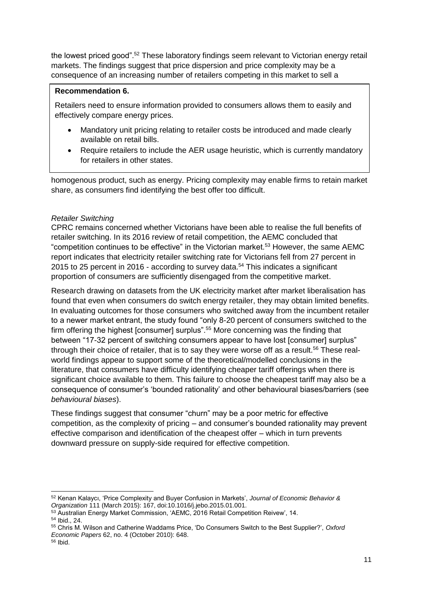the lowest priced good".<sup>52</sup> These laboratory findings seem relevant to Victorian energy retail markets. The findings suggest that price dispersion and price complexity may be a consequence of an increasing number of retailers competing in this market to sell a

## **Recommendation 6.**

Retailers need to ensure information provided to consumers allows them to easily and effectively compare energy prices.

- Mandatory unit pricing relating to retailer costs be introduced and made clearly available on retail bills.
- Require retailers to include the AER usage heuristic, which is currently mandatory for retailers in other states.

homogenous product, such as energy. Pricing complexity may enable firms to retain market share, as consumers find identifying the best offer too difficult.

## *Retailer Switching*

CPRC remains concerned whether Victorians have been able to realise the full benefits of retailer switching. In its 2016 review of retail competition, the AEMC concluded that "competition continues to be effective" in the Victorian market.<sup>53</sup> However, the same AEMC report indicates that electricity retailer switching rate for Victorians fell from 27 percent in 2015 to 25 percent in 2016 - according to survey data.<sup>54</sup> This indicates a significant proportion of consumers are sufficiently disengaged from the competitive market.

Research drawing on datasets from the UK electricity market after market liberalisation has found that even when consumers do switch energy retailer, they may obtain limited benefits. In evaluating outcomes for those consumers who switched away from the incumbent retailer to a newer market entrant, the study found "only 8-20 percent of consumers switched to the firm offering the highest [consumer] surplus".<sup>55</sup> More concerning was the finding that between "17-32 percent of switching consumers appear to have lost [consumer] surplus" through their choice of retailer, that is to say they were worse off as a result.<sup>56</sup> These realworld findings appear to support some of the theoretical/modelled conclusions in the literature, that consumers have difficulty identifying cheaper tariff offerings when there is significant choice available to them. This failure to choose the cheapest tariff may also be a consequence of consumer's 'bounded rationality' and other behavioural biases/barriers (see *behavioural biases*).

These findings suggest that consumer "churn" may be a poor metric for effective competition, as the complexity of pricing – and consumer's bounded rationality may prevent effective comparison and identification of the cheapest offer – which in turn prevents downward pressure on supply-side required for effective competition.

<sup>-</sup><sup>52</sup> Kenan Kalaycı, 'Price Complexity and Buyer Confusion in Markets', *Journal of Economic Behavior & Organization* 111 (March 2015): 167, doi:10.1016/j.jebo.2015.01.001.

<sup>53</sup> Australian Energy Market Commission, 'AEMC, 2016 Retail Competition Reivew', 14.

<sup>54</sup> Ibid., 24.

<sup>55</sup> Chris M. Wilson and Catherine Waddams Price, 'Do Consumers Switch to the Best Supplier?', *Oxford Economic Papers* 62, no. 4 (October 2010): 648.

<sup>56</sup> Ibid.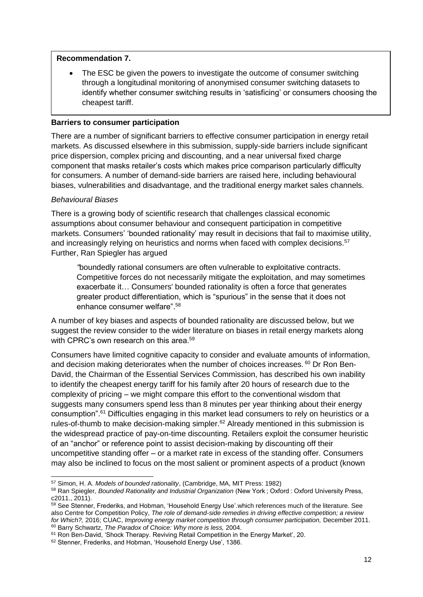#### **Recommendation 7.**

 The ESC be given the powers to investigate the outcome of consumer switching through a longitudinal monitoring of anonymised consumer switching datasets to identify whether consumer switching results in 'satisficing' or consumers choosing the cheapest tariff.

#### **Barriers to consumer participation**

There are a number of significant barriers to effective consumer participation in energy retail markets. As discussed elsewhere in this submission, supply-side barriers include significant price dispersion, complex pricing and discounting, and a near universal fixed charge component that masks retailer's costs which makes price comparison particularly difficulty for consumers. A number of demand-side barriers are raised here, including behavioural biases, vulnerabilities and disadvantage, and the traditional energy market sales channels.

#### *Behavioural Biases*

-

There is a growing body of scientific research that challenges classical economic assumptions about consumer behaviour and consequent participation in competitive markets. Consumers' 'bounded rationality' may result in decisions that fail to maximise utility, and increasingly relying on heuristics and norms when faced with complex decisions.<sup>57</sup> Further, Ran Spiegler has argued

*"*boundedly rational consumers are often vulnerable to exploitative contracts. Competitive forces do not necessarily mitigate the exploitation, and may sometimes exacerbate it… Consumers' bounded rationality is often a force that generates greater product differentiation, which is "spurious" in the sense that it does not enhance consumer welfare". 58

A number of key biases and aspects of bounded rationality are discussed below, but we suggest the review consider to the wider literature on biases in retail energy markets along with CPRC's own research on this area.<sup>59</sup>

Consumers have limited cognitive capacity to consider and evaluate amounts of information, and decision making deteriorates when the number of choices increases. <sup>60</sup> Dr Ron Ben-David, the Chairman of the Essential Services Commission, has described his own inability to identify the cheapest energy tariff for his family after 20 hours of research due to the complexity of pricing – we might compare this effort to the conventional wisdom that suggests many consumers spend less than 8 minutes per year thinking about their energy consumption".<sup>61</sup> Difficulties engaging in this market lead consumers to rely on heuristics or a rules-of-thumb to make decision-making simpler.<sup>62</sup> Already mentioned in this submission is the widespread practice of pay-on-time discounting. Retailers exploit the consumer heuristic of an "anchor" or reference point to assist decision-making by discounting off their uncompetitive standing offer – or a market rate in excess of the standing offer. Consumers may also be inclined to focus on the most salient or prominent aspects of a product (known

<sup>57</sup> Simon, H. A. *Models of bounded rationality*, (Cambridge, MA, MIT Press: 1982)

<sup>58</sup> Ran Spiegler, *Bounded Rationality and Industrial Organization* (New York ; Oxford : Oxford University Press, c2011., 2011).

<sup>59</sup> See Stenner, Frederiks, and Hobman, 'Household Energy Use'.which references much of the literature. See also Centre for Competition Policy, *The role of demand-side remedies in driving effective competition; a review for Which?,* 2016; CUAC, *Improving energy market competition through consumer participation,* December 2011. <sup>60</sup> Barry Schwartz, *The Paradox of Choice: Why more is less,* 2004.

<sup>&</sup>lt;sup>61</sup> Ron Ben-David, 'Shock Therapy. Reviving Retail Competition in the Energy Market', 20.

<sup>62</sup> Stenner, Frederiks, and Hobman, 'Household Energy Use', 1386.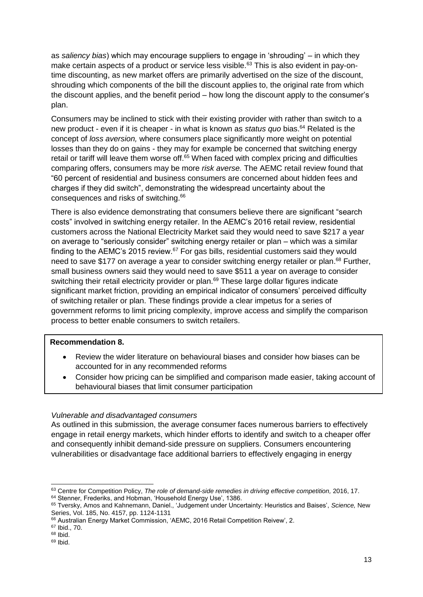as *saliency bias*) which may encourage suppliers to engage in 'shrouding' – in which they make certain aspects of a product or service less visible.<sup>63</sup> This is also evident in pay-ontime discounting, as new market offers are primarily advertised on the size of the discount, shrouding which components of the bill the discount applies to, the original rate from which the discount applies, and the benefit period – how long the discount apply to the consumer's plan.

Consumers may be inclined to stick with their existing provider with rather than switch to a new product - even if it is cheaper - in what is known as *status quo* bias.<sup>64</sup> Related is the concept of *loss aversion,* where consumers place significantly more weight on potential losses than they do on gains - they may for example be concerned that switching energy retail or tariff will leave them worse off.<sup>65</sup> When faced with complex pricing and difficulties comparing offers, consumers may be more *risk averse.* The AEMC retail review found that "60 percent of residential and business consumers are concerned about hidden fees and charges if they did switch", demonstrating the widespread uncertainty about the consequences and risks of switching.<sup>66</sup>

There is also evidence demonstrating that consumers believe there are significant "search costs" involved in switching energy retailer. In the AEMC's 2016 retail review, residential customers across the National Electricity Market said they would need to save \$217 a year on average to "seriously consider" switching energy retailer or plan – which was a similar finding to the AEMC's 2015 review.<sup>67</sup> For gas bills, residential customers said they would need to save \$177 on average a year to consider switching energy retailer or plan.<sup>68</sup> Further, small business owners said they would need to save \$511 a year on average to consider switching their retail electricity provider or plan.<sup>69</sup> These large dollar figures indicate significant market friction, providing an empirical indicator of consumers' perceived difficulty of switching retailer or plan. These findings provide a clear impetus for a series of government reforms to limit pricing complexity, improve access and simplify the comparison process to better enable consumers to switch retailers.

#### **Recommendation 8.**

- Review the wider literature on behavioural biases and consider how biases can be accounted for in any recommended reforms
- Consider how pricing can be simplified and comparison made easier, taking account of behavioural biases that limit consumer participation

#### *Vulnerable and disadvantaged consumers*

As outlined in this submission, the average consumer faces numerous barriers to effectively engage in retail energy markets, which hinder efforts to identify and switch to a cheaper offer and consequently inhibit demand-side pressure on suppliers. Consumers encountering vulnerabilities or disadvantage face additional barriers to effectively engaging in energy

1

<sup>63</sup> Centre for Competition Policy, *The role of demand-side remedies in driving effective competition,* 2016, 17. <sup>64</sup> Stenner, Frederiks, and Hobman, 'Household Energy Use', 1386.

<sup>65</sup> Tversky, Amos and Kahnemann, Daniel., 'Judgement under Uncertainty: Heuristics and Baises', *Science,* New Series, Vol. 185, No. 4157, pp. 1124-1131

<sup>66</sup> Australian Energy Market Commission, 'AEMC, 2016 Retail Competition Reivew', 2.

<sup>67</sup> Ibid., 70.

 $68$  Ibid.

 $69$  Ibid.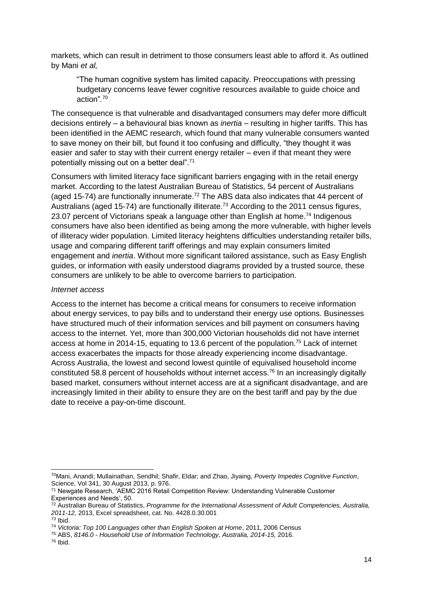markets, which can result in detriment to those consumers least able to afford it. As outlined by Mani *et al,* 

"The human cognitive system has limited capacity. Preoccupations with pressing budgetary concerns leave fewer cognitive resources available to guide choice and action"*.* 70

The consequence is that vulnerable and disadvantaged consumers may defer more difficult decisions entirely – a behavioural bias known as *inertia* – resulting in higher tariffs. This has been identified in the AEMC research, which found that many vulnerable consumers wanted to save money on their bill, but found it too confusing and difficulty, "they thought it was easier and safer to stay with their current energy retailer – even if that meant they were potentially missing out on a better deal".<sup>71</sup>

Consumers with limited literacy face significant barriers engaging with in the retail energy market. According to the latest Australian Bureau of Statistics, 54 percent of Australians (aged 15-74) are functionally innumerate.<sup>72</sup> The ABS data also indicates that 44 percent of Australians (aged 15-74) are functionally illiterate.<sup>73</sup> According to the 2011 census figures, 23.07 percent of Victorians speak a language other than English at home.<sup>74</sup> Indigenous consumers have also been identified as being among the more vulnerable, with higher levels of illiteracy wider population. Limited literacy heightens difficulties understanding retailer bills, usage and comparing different tariff offerings and may explain consumers limited engagement and *inertia*. Without more significant tailored assistance, such as Easy English guides, or information with easily understood diagrams provided by a trusted source, these consumers are unlikely to be able to overcome barriers to participation.

#### *Internet access*

Access to the internet has become a critical means for consumers to receive information about energy services, to pay bills and to understand their energy use options. Businesses have structured much of their information services and bill payment on consumers having access to the internet. Yet, more than 300,000 Victorian households did not have internet access at home in 2014-15, equating to 13.6 percent of the population.<sup>75</sup> Lack of internet access exacerbates the impacts for those already experiencing income disadvantage. Across Australia, the lowest and second lowest quintile of equivalised household income constituted 58.8 percent of households without internet access.<sup>76</sup> In an increasingly digitally based market, consumers without internet access are at a significant disadvantage, and are increasingly limited in their ability to ensure they are on the best tariff and pay by the due date to receive a pay-on-time discount.

<sup>1</sup> <sup>70</sup>Mani, Anandi; Mullainathan, Sendhil; Shafir, Eldar; and Zhao, Jiyaing, *Poverty Impedes Cognitive Function*, Science, Vol 341, 30 August 2013, p. 976.

<sup>71</sup> Newgate Research, 'AEMC 2016 Retail Competition Review: Understanding Vulnerable Customer Experiences and Needs', 50.

<sup>72</sup> Australian Bureau of Statistics, *Programme for the International Assessment of Adult Competencies, Australia, 2011-12,* 2013, Excel spreadsheet, cat. No. 4428.0.30.001 <sup>73</sup> Ibid.

<sup>74</sup> *Victoria: Top 100 Languages other than English Spoken at Home*, 2011, 2006 Census

<sup>75</sup> ABS, *8146.0 - Household Use of Information Technology, Australia, 2014-15,* 2016.

<sup>76</sup> Ibid.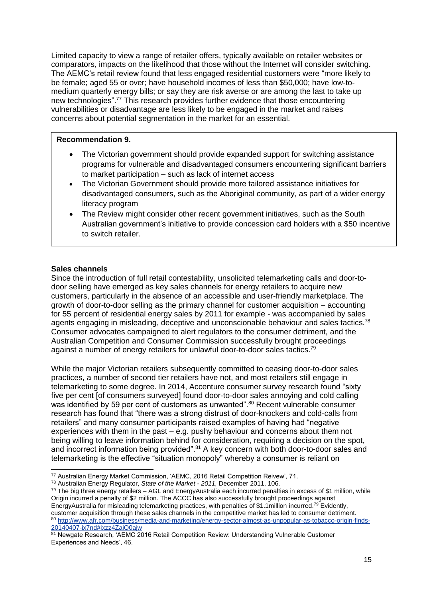Limited capacity to view a range of retailer offers, typically available on retailer websites or comparators, impacts on the likelihood that those without the Internet will consider switching. The AEMC's retail review found that less engaged residential customers were "more likely to be female; aged 55 or over; have household incomes of less than \$50,000; have low-tomedium quarterly energy bills; or say they are risk averse or are among the last to take up new technologies".<sup>77</sup> This research provides further evidence that those encountering vulnerabilities or disadvantage are less likely to be engaged in the market and raises concerns about potential segmentation in the market for an essential.

#### **Recommendation 9.**

- The Victorian government should provide expanded support for switching assistance programs for vulnerable and disadvantaged consumers encountering significant barriers to market participation – such as lack of internet access
- The Victorian Government should provide more tailored assistance initiatives for disadvantaged consumers, such as the Aboriginal community, as part of a wider energy literacy program
- The Review might consider other recent government initiatives, such as the South Australian government's initiative to provide concession card holders with a \$50 incentive to switch retailer.

## **Sales channels**

Since the introduction of full retail contestability, unsolicited telemarketing calls and door-todoor selling have emerged as key sales channels for energy retailers to acquire new customers, particularly in the absence of an accessible and user-friendly marketplace. The growth of door-to-door selling as the primary channel for customer acquisition – accounting for 55 percent of residential energy sales by 2011 for example - was accompanied by sales agents engaging in misleading, deceptive and unconscionable behaviour and sales tactics.<sup>78</sup> Consumer advocates campaigned to alert regulators to the consumer detriment, and the Australian Competition and Consumer Commission successfully brought proceedings against a number of energy retailers for unlawful door-to-door sales tactics.<sup>79</sup>

While the major Victorian retailers subsequently committed to ceasing door-to-door sales practices, a number of second tier retailers have not, and most retailers still engage in telemarketing to some degree. In 2014, Accenture consumer survey research found "sixty five per cent [of consumers surveyed] found door-to-door sales annoying and cold calling was identified by 59 per cent of customers as unwanted".<sup>80</sup> Recent vulnerable consumer research has found that "there was a strong distrust of door-knockers and cold-calls from retailers" and many consumer participants raised examples of having had "negative experiences with them in the past – e.g. pushy behaviour and concerns about them not being willing to leave information behind for consideration, requiring a decision on the spot, and incorrect information being provided".<sup>81</sup> A key concern with both door-to-door sales and telemarketing is the effective "situation monopoly" whereby a consumer is reliant on

<sup>1</sup> <sup>77</sup> Australian Energy Market Commission, 'AEMC, 2016 Retail Competition Reivew', 71.

<sup>78</sup> Australian Energy Regulator, *State of the Market - 2011,* December 2011, 106.

<sup>&</sup>lt;sup>79</sup> The big three energy retailers – AGL and EnergyAustralia each incurred penalties in excess of \$1 million, while Origin incurred a penalty of \$2 million. The ACCC has also successfully brought proceedings against EnergyAustralia for misleading telemarketing practices, with penalties of \$1.1 million incurred.<sup>79</sup> Evidently, customer acquisition through these sales channels in the competitive market has led to consumer detriment. 80 [http://www.afr.com/business/media-and-marketing/energy-sector-almost-as-unpopular-as-tobacco-origin-finds-](http://www.afr.com/business/media-and-marketing/energy-sector-almost-as-unpopular-as-tobacco-origin-finds-20140407-ix7nd#ixzz4ZaiO0ajw)[20140407-ix7nd#ixzz4ZaiO0ajw](http://www.afr.com/business/media-and-marketing/energy-sector-almost-as-unpopular-as-tobacco-origin-finds-20140407-ix7nd#ixzz4ZaiO0ajw)

<sup>81</sup> Newgate Research, 'AEMC 2016 Retail Competition Review: Understanding Vulnerable Customer Experiences and Needs', 46.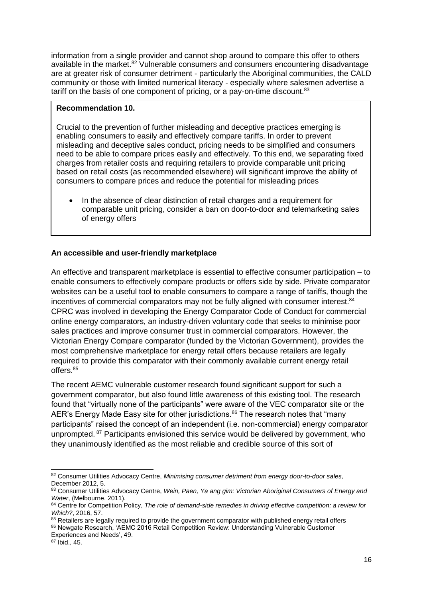information from a single provider and cannot shop around to compare this offer to others available in the market.<sup>82</sup> Vulnerable consumers and consumers encountering disadvantage are at greater risk of consumer detriment - particularly the Aboriginal communities, the CALD community or those with limited numerical literacy - especially where salesmen advertise a tariff on the basis of one component of pricing, or a pay-on-time discount.<sup>83</sup>

#### **Recommendation 10.**

Crucial to the prevention of further misleading and deceptive practices emerging is enabling consumers to easily and effectively compare tariffs. In order to prevent misleading and deceptive sales conduct, pricing needs to be simplified and consumers need to be able to compare prices easily and effectively. To this end, we separating fixed charges from retailer costs and requiring retailers to provide comparable unit pricing based on retail costs (as recommended elsewhere) will significant improve the ability of consumers to compare prices and reduce the potential for misleading prices

 In the absence of clear distinction of retail charges and a requirement for comparable unit pricing, consider a ban on door-to-door and telemarketing sales of energy offers

## **An accessible and user-friendly marketplace**

An effective and transparent marketplace is essential to effective consumer participation – to enable consumers to effectively compare products or offers side by side. Private comparator websites can be a useful tool to enable consumers to compare a range of tariffs, though the incentives of commercial comparators may not be fully aligned with consumer interest.<sup>84</sup> CPRC was involved in developing the Energy Comparator Code of Conduct for commercial online energy comparators, an industry-driven voluntary code that seeks to minimise poor sales practices and improve consumer trust in commercial comparators. However, the Victorian Energy Compare comparator (funded by the Victorian Government), provides the most comprehensive marketplace for energy retail offers because retailers are legally required to provide this comparator with their commonly available current energy retail offers.<sup>85</sup>

The recent AEMC vulnerable customer research found significant support for such a government comparator, but also found little awareness of this existing tool. The research found that "virtually none of the participants" were aware of the VEC comparator site or the AER's Energy Made Easy site for other jurisdictions.<sup>86</sup> The research notes that "many participants" raised the concept of an independent (i.e. non-commercial) energy comparator unprompted. <sup>87</sup> Participants envisioned this service would be delivered by government, who they unanimously identified as the most reliable and credible source of this sort of

<sup>1</sup> 82 Consumer Utilities Advocacy Centre, *Minimising consumer detriment from energy door-to-door sales*, December 2012, 5.

<sup>83</sup> Consumer Utilities Advocacy Centre, *Wein, Paen, Ya ang gim: Victorian Aboriginal Consumers of Energy and Water*, (Melbourne, 2011).

<sup>84</sup> Centre for Competition Policy, *The role of demand-side remedies in driving effective competition; a review for Which?*, 2016, 57.

<sup>85</sup> Retailers are legally required to provide the government comparator with published energy retail offers

<sup>86</sup> Newgate Research, 'AEMC 2016 Retail Competition Review: Understanding Vulnerable Customer

Experiences and Needs', 49.

<sup>87</sup> Ibid., 45.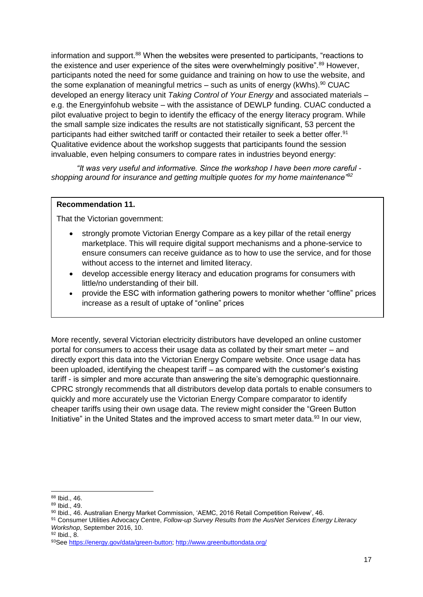information and support.<sup>88</sup> When the websites were presented to participants, "reactions to the existence and user experience of the sites were overwhelmingly positive".<sup>89</sup> However, participants noted the need for some guidance and training on how to use the website, and the some explanation of meaningful metrics – such as units of energy ( $kWhs$ ).<sup>90</sup> CUAC developed an energy literacy unit *Taking Control of Your Energy* and associated materials – e.g. the Energyinfohub website – with the assistance of DEWLP funding. CUAC conducted a pilot evaluative project to begin to identify the efficacy of the energy literacy program. While the small sample size indicates the results are not statistically significant, 53 percent the participants had either switched tariff or contacted their retailer to seek a better offer.<sup>91</sup> Qualitative evidence about the workshop suggests that participants found the session invaluable, even helping consumers to compare rates in industries beyond energy:

*"It was very useful and informative. Since the workshop I have been more careful shopping around for insurance and getting multiple quotes for my home maintenance"<sup>92</sup>*

#### **Recommendation 11.**

That the Victorian government:

- strongly promote Victorian Energy Compare as a key pillar of the retail energy marketplace. This will require digital support mechanisms and a phone-service to ensure consumers can receive guidance as to how to use the service, and for those without access to the internet and limited literacy.
- develop accessible energy literacy and education programs for consumers with little/no understanding of their bill.
- provide the ESC with information gathering powers to monitor whether "offline" prices increase as a result of uptake of "online" prices

More recently, several Victorian electricity distributors have developed an online customer portal for consumers to access their usage data as collated by their smart meter – and directly export this data into the Victorian Energy Compare website. Once usage data has been uploaded, identifying the cheapest tariff – as compared with the customer's existing tariff - is simpler and more accurate than answering the site's demographic questionnaire. CPRC strongly recommends that all distributors develop data portals to enable consumers to quickly and more accurately use the Victorian Energy Compare comparator to identify cheaper tariffs using their own usage data. The review might consider the "Green Button Initiative" in the United States and the improved access to smart meter data.<sup>93</sup> In our view,

-

<sup>88</sup> Ibid., 46.

<sup>89</sup> Ibid., 49.

<sup>90</sup> Ibid., 46. Australian Energy Market Commission, 'AEMC, 2016 Retail Competition Reivew', 46.

<sup>91</sup> Consumer Utilities Advocacy Centre, *Follow-up Survey Results from the AusNet Services Energy Literacy Workshop*, September 2016, 10.

<sup>92</sup> Ibid., 8.

<sup>93</sup>See [https://energy.gov/data/green-button;](https://energy.gov/data/green-button)<http://www.greenbuttondata.org/>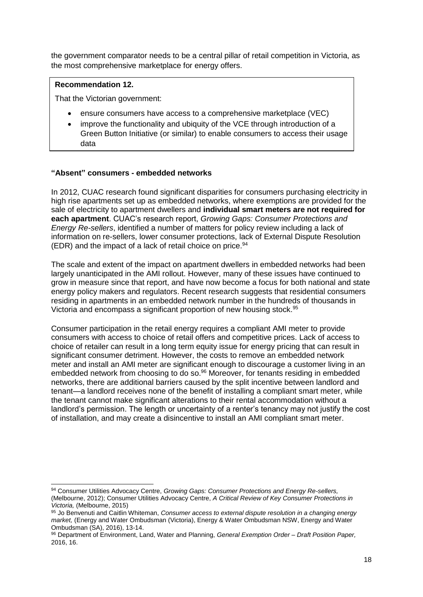the government comparator needs to be a central pillar of retail competition in Victoria, as the most comprehensive marketplace for energy offers.

#### **Recommendation 12.**

1

That the Victorian government:

- ensure consumers have access to a comprehensive marketplace (VEC)
- improve the functionality and ubiquity of the VCE through introduction of a Green Button Initiative (or similar) to enable consumers to access their usage data

#### **"Absent" consumers - embedded networks**

In 2012, CUAC research found significant disparities for consumers purchasing electricity in high rise apartments set up as embedded networks, where exemptions are provided for the sale of electricity to apartment dwellers and **individual smart meters are not required for each apartment**. CUAC's research report, *Growing Gaps: Consumer Protections and Energy Re-sellers*, identified a number of matters for policy review including a lack of information on re-sellers, lower consumer protections, lack of External Dispute Resolution (EDR) and the impact of a lack of retail choice on price.  $94$ 

The scale and extent of the impact on apartment dwellers in embedded networks had been largely unanticipated in the AMI rollout. However, many of these issues have continued to grow in measure since that report, and have now become a focus for both national and state energy policy makers and regulators. Recent research suggests that residential consumers residing in apartments in an embedded network number in the hundreds of thousands in Victoria and encompass a significant proportion of new housing stock.<sup>95</sup>

Consumer participation in the retail energy requires a compliant AMI meter to provide consumers with access to choice of retail offers and competitive prices. Lack of access to choice of retailer can result in a long term equity issue for energy pricing that can result in significant consumer detriment. However, the costs to remove an embedded network meter and install an AMI meter are significant enough to discourage a customer living in an embedded network from choosing to do so.<sup>96</sup> Moreover, for tenants residing in embedded networks, there are additional barriers caused by the split incentive between landlord and tenant—a landlord receives none of the benefit of installing a compliant smart meter, while the tenant cannot make significant alterations to their rental accommodation without a landlord's permission. The length or uncertainty of a renter's tenancy may not justify the cost of installation, and may create a disincentive to install an AMI compliant smart meter.

<sup>94</sup> Consumer Utilities Advocacy Centre, *Growing Gaps: Consumer Protections and Energy Re-sellers*, (Melbourne, 2012); Consumer Utilities Advocacy Centre, *A Critical Review of Key Consumer Protections in Victoria,* (Melbourne, 2015)

<sup>95</sup> Jo Benvenuti and Caitlin Whiteman, *Consumer access to external dispute resolution in a changing energy market,* (Energy and Water Ombudsman (Victoria), Energy & Water Ombudsman NSW, Energy and Water Ombudsman (SA), 2016), 13-14.

<sup>96</sup> Department of Environment, Land, Water and Planning, *General Exemption Order – Draft Position Paper,* 2016, 16.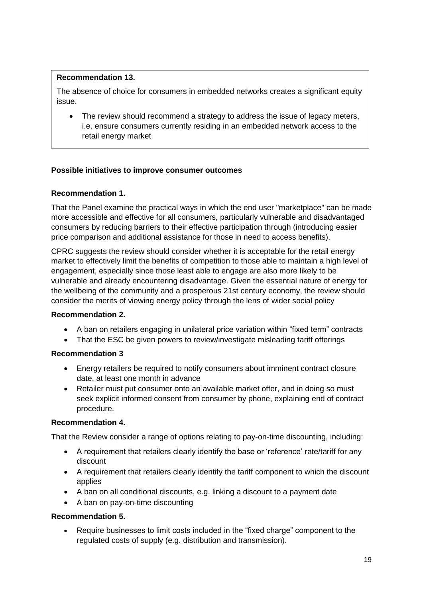## **Recommendation 13.**

The absence of choice for consumers in embedded networks creates a significant equity issue.

• The review should recommend a strategy to address the issue of legacy meters, i.e. ensure consumers currently residing in an embedded network access to the retail energy market

## **Possible initiatives to improve consumer outcomes**

## **Recommendation 1.**

That the Panel examine the practical ways in which the end user "marketplace" can be made more accessible and effective for all consumers, particularly vulnerable and disadvantaged consumers by reducing barriers to their effective participation through (introducing easier price comparison and additional assistance for those in need to access benefits).

CPRC suggests the review should consider whether it is acceptable for the retail energy market to effectively limit the benefits of competition to those able to maintain a high level of engagement, especially since those least able to engage are also more likely to be vulnerable and already encountering disadvantage. Given the essential nature of energy for the wellbeing of the community and a prosperous 21st century economy, the review should consider the merits of viewing energy policy through the lens of wider social policy

#### **Recommendation 2.**

- A ban on retailers engaging in unilateral price variation within "fixed term" contracts
- That the ESC be given powers to review/investigate misleading tariff offerings

#### **Recommendation 3**

- Energy retailers be required to notify consumers about imminent contract closure date, at least one month in advance
- Retailer must put consumer onto an available market offer, and in doing so must seek explicit informed consent from consumer by phone, explaining end of contract procedure.

#### **Recommendation 4.**

That the Review consider a range of options relating to pay-on-time discounting, including:

- A requirement that retailers clearly identify the base or 'reference' rate/tariff for any discount
- A requirement that retailers clearly identify the tariff component to which the discount applies
- A ban on all conditional discounts, e.g. linking a discount to a payment date
- A ban on pay-on-time discounting

## **Recommendation 5.**

 Require businesses to limit costs included in the "fixed charge" component to the regulated costs of supply (e.g. distribution and transmission).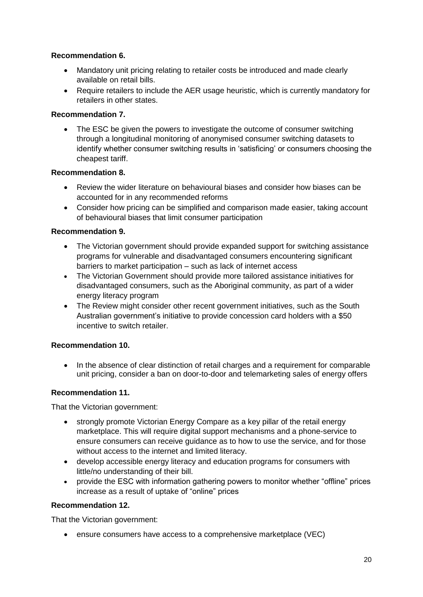## **Recommendation 6.**

- Mandatory unit pricing relating to retailer costs be introduced and made clearly available on retail bills.
- Require retailers to include the AER usage heuristic, which is currently mandatory for retailers in other states.

## **Recommendation 7.**

• The ESC be given the powers to investigate the outcome of consumer switching through a longitudinal monitoring of anonymised consumer switching datasets to identify whether consumer switching results in 'satisficing' or consumers choosing the cheapest tariff.

## **Recommendation 8.**

- Review the wider literature on behavioural biases and consider how biases can be accounted for in any recommended reforms
- Consider how pricing can be simplified and comparison made easier, taking account of behavioural biases that limit consumer participation

## **Recommendation 9.**

- The Victorian government should provide expanded support for switching assistance programs for vulnerable and disadvantaged consumers encountering significant barriers to market participation – such as lack of internet access
- The Victorian Government should provide more tailored assistance initiatives for disadvantaged consumers, such as the Aboriginal community, as part of a wider energy literacy program
- The Review might consider other recent government initiatives, such as the South Australian government's initiative to provide concession card holders with a \$50 incentive to switch retailer.

## **Recommendation 10.**

• In the absence of clear distinction of retail charges and a requirement for comparable unit pricing, consider a ban on door-to-door and telemarketing sales of energy offers

## **Recommendation 11.**

That the Victorian government:

- strongly promote Victorian Energy Compare as a key pillar of the retail energy marketplace. This will require digital support mechanisms and a phone-service to ensure consumers can receive guidance as to how to use the service, and for those without access to the internet and limited literacy.
- develop accessible energy literacy and education programs for consumers with little/no understanding of their bill.
- provide the ESC with information gathering powers to monitor whether "offline" prices increase as a result of uptake of "online" prices

## **Recommendation 12.**

That the Victorian government:

ensure consumers have access to a comprehensive marketplace (VEC)